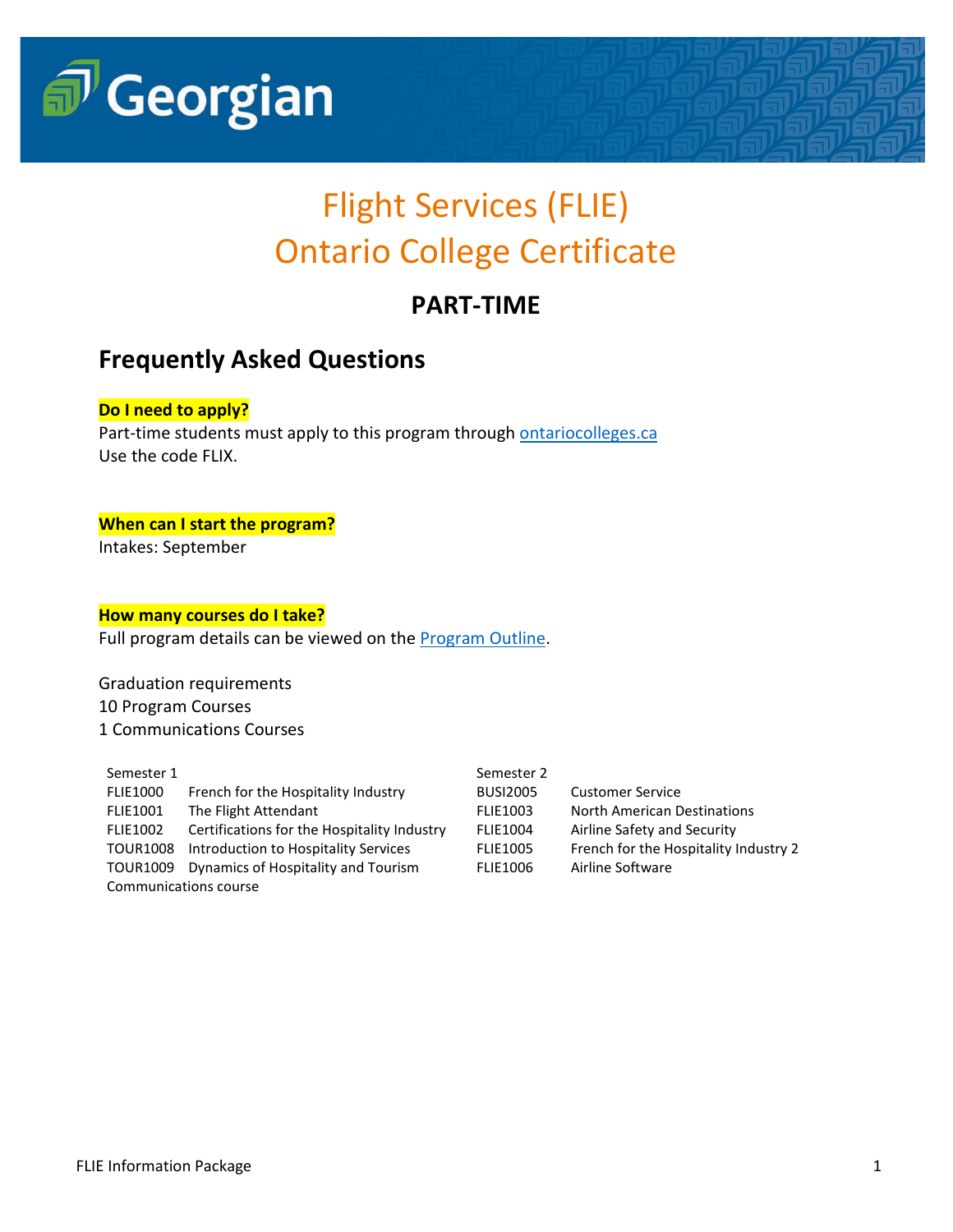

# Flight Services (FLIE) Ontario College Certificate

## **PART-TIME**

## **Frequently Asked Questions**

### **Do I need to apply?**

Part-time students must apply to this program through **ontariocolleges.ca** Use the code FLIX.

#### **When can I start the program?**

Intakes: September

#### **How many courses do I take?**

Full program details can be viewed on the **Program Outline**.

Graduation requirements 10 Program Courses 1 Communications Courses

| Semester 1            |                                             | Semester 2      |                                       |
|-----------------------|---------------------------------------------|-----------------|---------------------------------------|
| <b>FLIE1000</b>       | French for the Hospitality Industry         | <b>BUSI2005</b> | <b>Customer Service</b>               |
| <b>FLIE1001</b>       | The Flight Attendant                        | <b>FLIE1003</b> | North American Destinations           |
| <b>FLIE1002</b>       | Certifications for the Hospitality Industry | <b>FLIE1004</b> | Airline Safety and Security           |
| <b>TOUR1008</b>       | Introduction to Hospitality Services        | <b>FLIE1005</b> | French for the Hospitality Industry 2 |
| TOUR1009              | Dynamics of Hospitality and Tourism         | <b>FLIE1006</b> | Airline Software                      |
| Communications course |                                             |                 |                                       |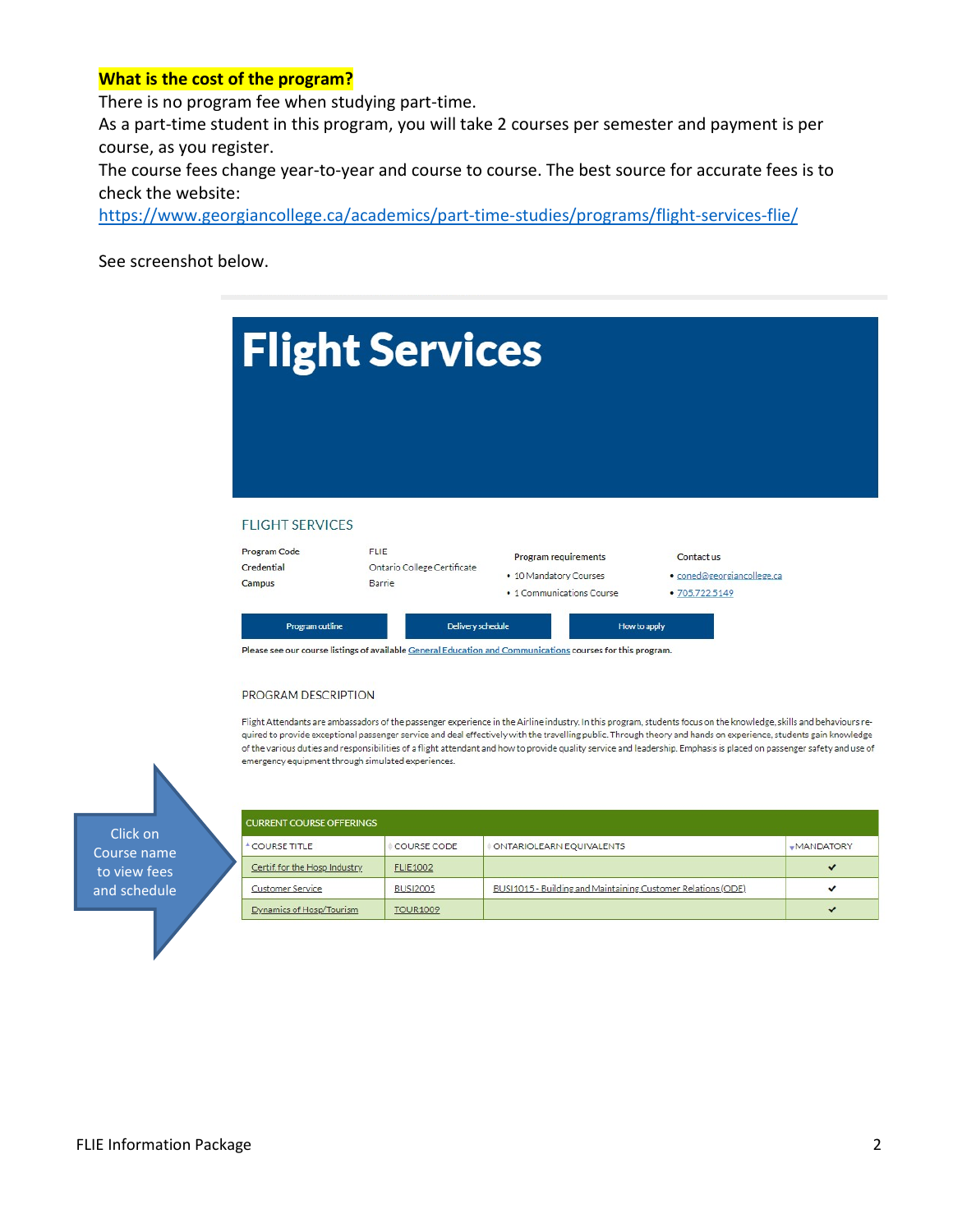#### **What is the cost of the program?**

There is no program fee when studying part-time.

As a part-time student in this program, you will take 2 courses per semester and payment is per course, as you register.

The course fees change year-to-year and course to course. The best source for accurate fees is to check the website:

<https://www.georgiancollege.ca/academics/part-time-studies/programs/flight-services-flie/>

See screenshot below.

|                        | <b>Flight Services</b> |                             |            |
|------------------------|------------------------|-----------------------------|------------|
|                        |                        |                             |            |
| <b>FLIGHT SERVICES</b> |                        |                             |            |
| <b>Program Code</b>    | <b>FLIE</b>            | <b>Program requirements</b> | Contact us |

Please see our course listings of available General Education and Communications courses for this program.

#### PROGRAM DESCRIPTION

Flight Attendants are ambassadors of the passenger experience in the Airline industry. In this program, students focus on the knowledge, skills and behaviours required to provide exceptional passenger service and deal effectively with the travelling public. Through theory and hands on experience, students gain knowledge of the various duties and responsibilities of a flight attendant and how to provide quality service and leadership. Emphasis is placed on passenger safety and use of emergency equipment through simulated experiences.

Click on Course name to view fees and schedule

| <b>CURRENT COURSE OFFERINGS</b> |                 |                                                              |                  |
|---------------------------------|-----------------|--------------------------------------------------------------|------------------|
| <sup>A</sup> COURSE TITLE       | COURSE CODE     | ONTARIOLEARN EQUIVALENTS                                     | <b>MANDATORY</b> |
| Certif. for the Hosp Industry   | <b>FLIE1002</b> |                                                              | $\checkmark$     |
| <b>Customer Service</b>         | <b>BUSI2005</b> | BUSI1015 - Building and Maintaining Customer Relations (ODE) |                  |
| Dynamics of Hosp/Tourism        | <b>TOUR1009</b> |                                                              | $\checkmark$     |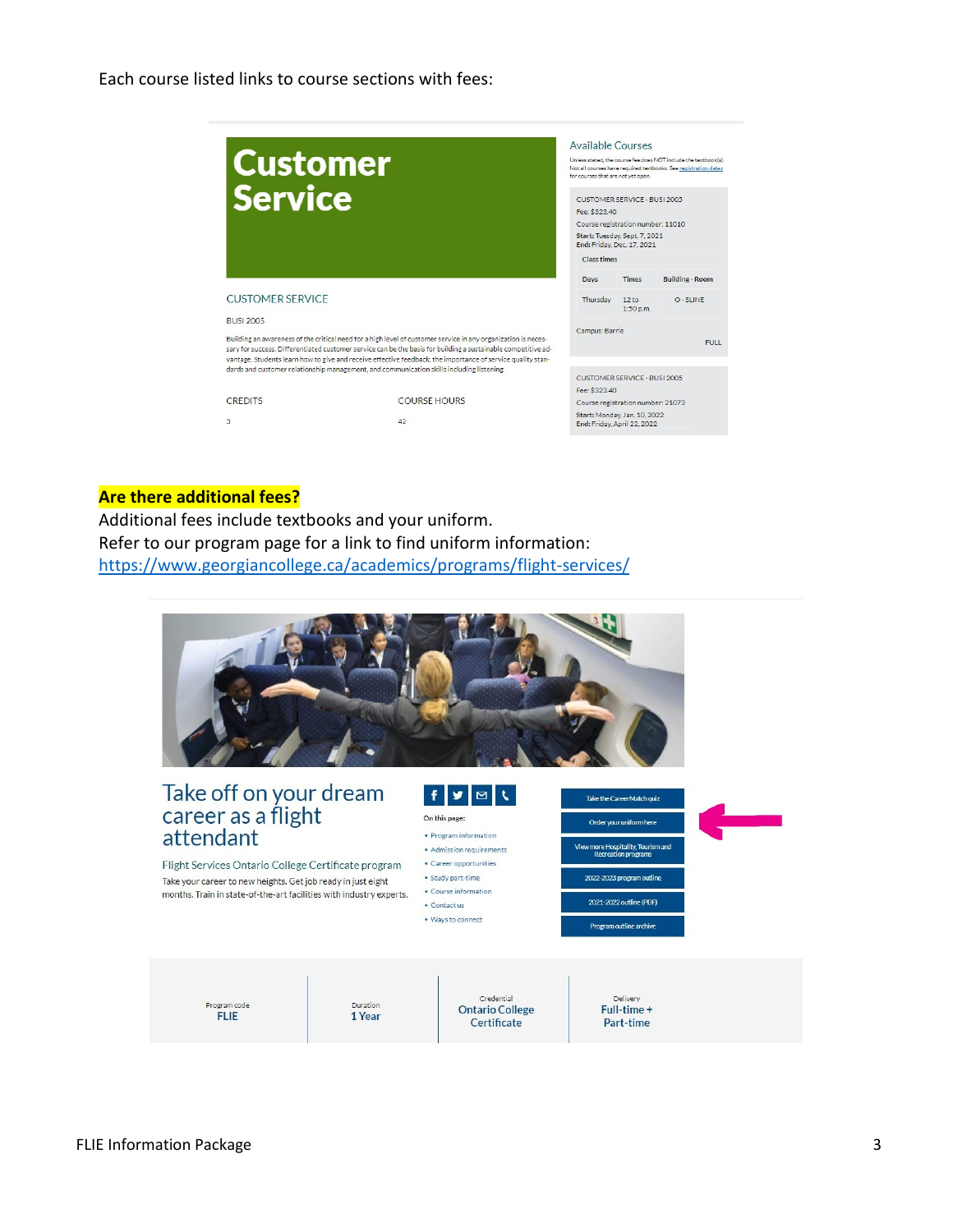Each course listed links to course sections with fees:

| <b>Customer</b>         |                                                                                                                                                                                                                              | Available Courses<br>for courses that are not yet open.     |                               | Unless stated, the course fee does NOT include the textbook(s).<br>Not all courses have required textbooks. See registration dates |
|-------------------------|------------------------------------------------------------------------------------------------------------------------------------------------------------------------------------------------------------------------------|-------------------------------------------------------------|-------------------------------|------------------------------------------------------------------------------------------------------------------------------------|
| <b>Service</b>          |                                                                                                                                                                                                                              | <b>CUSTOMER SERVICE - BUSI 2005</b><br>Fee: \$323.40        |                               |                                                                                                                                    |
|                         |                                                                                                                                                                                                                              | Course registration number: 11010                           |                               |                                                                                                                                    |
|                         |                                                                                                                                                                                                                              | Start: Tuesday, Sept. 7, 2021<br>End: Friday, Dec. 17, 2021 |                               |                                                                                                                                    |
|                         |                                                                                                                                                                                                                              | <b>Class times</b>                                          |                               |                                                                                                                                    |
|                         |                                                                                                                                                                                                                              | Davs                                                        | <b>Times</b>                  | <b>Building - Room</b>                                                                                                             |
| <b>CUSTOMER SERVICE</b> |                                                                                                                                                                                                                              | Thursday                                                    | 12 <sub>to</sub><br>1:50 p.m. | $O - SI$ INF                                                                                                                       |
| <b>BUSI 2005</b>        |                                                                                                                                                                                                                              |                                                             |                               |                                                                                                                                    |
|                         | Building an awareness of the critical need for a high level of customer service in any organization is neces-                                                                                                                | Campus: Barrie                                              |                               |                                                                                                                                    |
|                         | sary for success. Differentiated customer service can be the basis for building a sustainable competitive ad-<br>vantage. Students learn how to give and receive effective feedback, the importance of service quality stan- |                                                             |                               | <b>FULL</b>                                                                                                                        |
|                         | dards and customer relationship management, and communication skills including listening.                                                                                                                                    | CUSTOMER SERVICE - BUSI 2005                                |                               |                                                                                                                                    |
|                         |                                                                                                                                                                                                                              | Fee: \$323.40                                               |                               |                                                                                                                                    |
| <b>CREDITS</b>          | COURSE HOURS                                                                                                                                                                                                                 | Course registration number: 21073                           |                               |                                                                                                                                    |
| 3                       | 42                                                                                                                                                                                                                           | Start: Monday, Jan. 10, 2022<br>End: Friday, April 22, 2022 |                               |                                                                                                                                    |
|                         |                                                                                                                                                                                                                              |                                                             |                               |                                                                                                                                    |

#### **Are there additional fees?**

Additional fees include textbooks and your uniform. Refer to our program page for a link to find uniform information: <https://www.georgiancollege.ca/academics/programs/flight-services/>